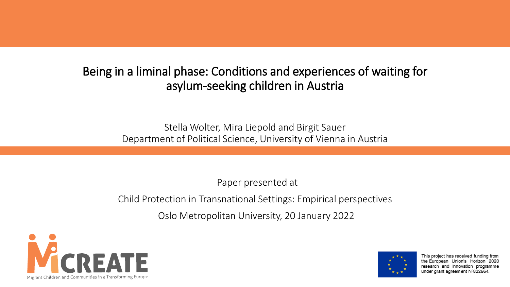#### Being in a liminal phase: Conditions and experiences of waiting for asylum-seeking children in Austria

Stella Wolter, Mira Liepold and Birgit Sauer Department of Political Science, University of Vienna in Austria

Paper presented at

Child Protection in Transnational Settings: Empirical perspectives

Oslo Metropolitan University, 20 January 2022





This project has received funding from the European Union's Horizon 2020 research and innovation programme under grant agreement N°822664.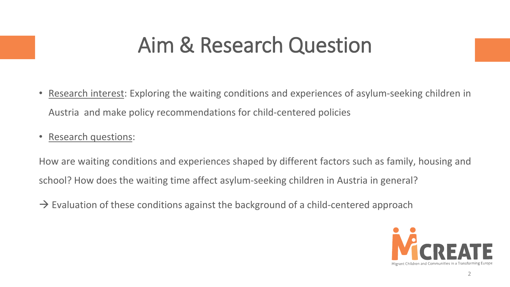## Aim & Research Question

- Research interest: Exploring the waiting conditions and experiences of asylum-seeking children in Austria and make policy recommendations for child-centered policies
- Research questions:

How are waiting conditions and experiences shaped by different factors such as family, housing and school? How does the waiting time affect asylum-seeking children in Austria in general?

 $\rightarrow$  Evaluation of these conditions against the background of a child-centered approach

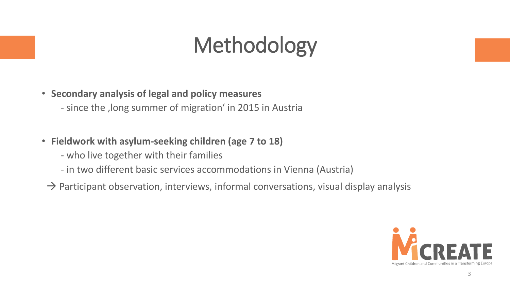# Methodology

- **Secondary analysis of legal and policy measures**
	- since the , long summer of migration' in 2015 in Austria
- **Fieldwork with asylum-seeking children (age 7 to 18)**
	- who live together with their families
	- in two different basic services accommodations in Vienna (Austria)
- $\rightarrow$  Participant observation, interviews, informal conversations, visual display analysis

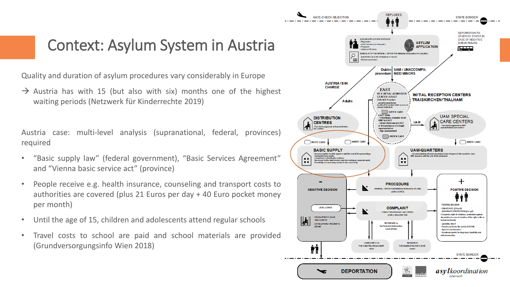#### Context: Asylum System in Austria

Quality and duration of asylum procedures vary considerably in Europe

 $\rightarrow$  Austria has with 15 (but also with six) months one of the highest waiting periods (Netzwerk für Kinderrechte 2019)

Austria case: multi-level analysis (supranational, federal, provinces) required

- "Basic supply law" (federal government), "Basic Services Agreement" and "Vienna basic service act" (province)
- People receive e.g. health insurance, counseling and transport costs to authorities are covered (plus 21 Euros per day + 40 Euro pocket money per month)
- Until the age of 15, children and adolescents attend regular schools
- Travel costs to school are paid and school materials are provided (Grundversorgungsinfo Wien 2018)

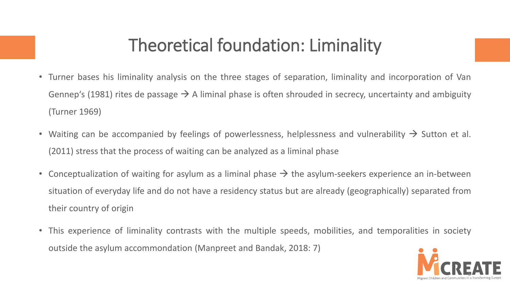#### Theoretical foundation: Liminality

- Turner bases his liminality analysis on the three stages of separation, liminality and incorporation of Van Gennep's (1981) rites de passage  $\rightarrow$  A liminal phase is often shrouded in secrecy, uncertainty and ambiguity (Turner 1969)
- Waiting can be accompanied by feelings of powerlessness, helplessness and vulnerability  $\rightarrow$  Sutton et al. (2011) stress that the process of waiting can be analyzed as a liminal phase
- Conceptualization of waiting for asylum as a liminal phase  $\rightarrow$  the asylum-seekers experience an in-between situation of everyday life and do not have a residency status but are already (geographically) separated from their country of origin
- This experience of liminality contrasts with the multiple speeds, mobilities, and temporalities in society outside the asylum accommondation (Manpreet and Bandak, 2018: 7)

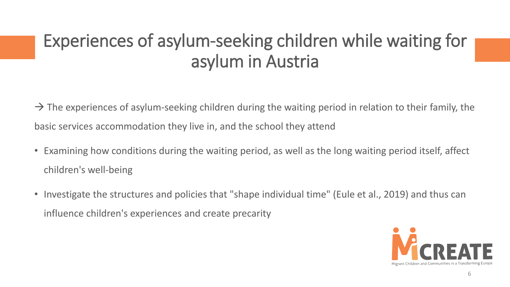### Experiences of asylum-seeking children while waiting for asylum in Austria

 $\rightarrow$  The experiences of asylum-seeking children during the waiting period in relation to their family, the basic services accommodation they live in, and the school they attend

- Examining how conditions during the waiting period, as well as the long waiting period itself, affect children's well-being
- Investigate the structures and policies that "shape individual time" (Eule et al., 2019) and thus can influence children's experiences and create precarity

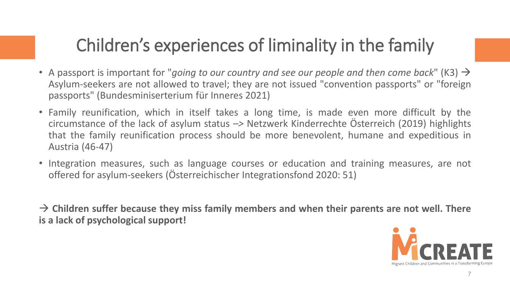### Children's experiences of liminality in the family

- A passport is important for "*going to our country and see our people and then come back*" (K3) → Asylum-seekers are not allowed to travel; they are not issued "convention passports" or "foreign passports" (Bundesminiserterium für Inneres 2021)
- Family reunification, which in itself takes a long time, is made even more difficult by the circumstance of the lack of asylum status *–>* Netzwerk Kinderrechte Österreich (2019) highlights that the family reunification process should be more benevolent, humane and expeditious in Austria (46-47)
- Integration measures, such as language courses or education and training measures, are not offered for asylum-seekers (Österreichischer Integrationsfond 2020: 51)

→ **Children suffer because they miss family members and when their parents are not well. There is a lack of psychological support!**

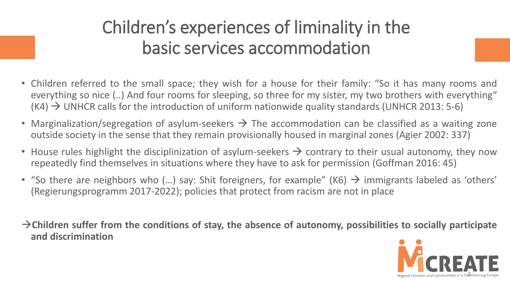### Children's experiences of liminality in the basic services accommodation

- Children referred to the small space; they wish for a house for their family: "So it has many rooms and everything so nice (..) And four rooms for sleeping, so three for my sister, my two brothers with everything"  $(K4)$   $\rightarrow$  UNHCR calls for the introduction of uniform nationwide quality standards (UNHCR 2013: 5-6)
- Marginalization/segregation of asylum-seekers  $\rightarrow$  The accommodation can be classified as a waiting zone outside society in the sense that they remain provisionally housed in marginal zones (Agier 2002: 337)
- House rules highlight the disciplinization of asylum-seekers  $\rightarrow$  contrary to their usual autonomy, they now repeatedly find themselves in situations where they have to ask for permission (Goffman 2016: 45)
- "So there are neighbors who (...) say: Shit foreigners, for example" (K6)  $\rightarrow$  immigrants labeled as 'others' (Regierungsprogramm 2017-2022); policies that protect from racism are not in place
- →**Children suffer from the conditions of stay, the absence of autonomy, possibilities to socially participate and discrimination**

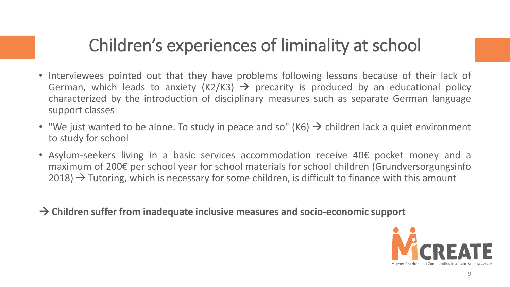#### Children's experiences of liminality at school

- Interviewees pointed out that they have problems following lessons because of their lack of German, which leads to anxiety (K2/K3)  $\rightarrow$  precarity is produced by an educational policy characterized by the introduction of disciplinary measures such as separate German language support classes
- "We just wanted to be alone. To study in peace and so" (K6)  $\rightarrow$  children lack a quiet environment to study for school
- Asylum-seekers living in a basic services accommodation receive 40€ pocket money and a maximum of 200€ per school year for school materials for school children (Grundversorgungsinfo  $2018$ )  $\rightarrow$  Tutoring, which is necessary for some children, is difficult to finance with this amount
- → **Children suffer from inadequate inclusive measures and socio-economic support**

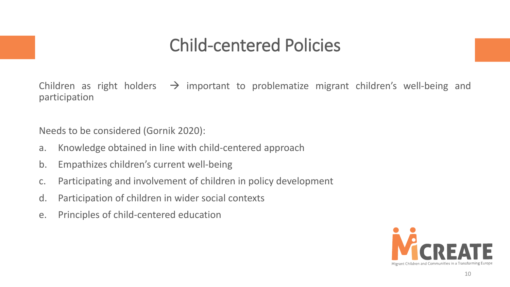#### Child-centered Policies

Children as right holders  $\rightarrow$  important to problematize migrant children's well-being and participation

Needs to be considered (Gornik 2020):

- a. Knowledge obtained in line with child-centered approach
- b. Empathizes children's current well-being
- c. Participating and involvement of children in policy development
- d. Participation of children in wider social contexts
- e. Principles of child-centered education

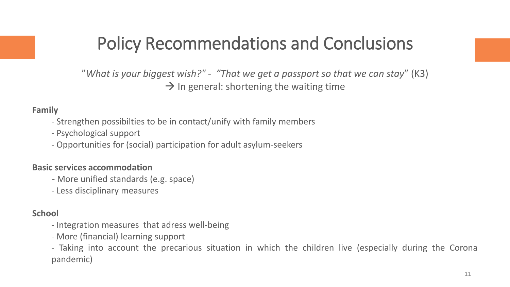#### Policy Recommendations and Conclusions

"*What is your biggest wish?" - "That we get a passport so that we can stay*" (K3)  $\rightarrow$  In general: shortening the waiting time

#### **Family**

- Strengthen possibilties to be in contact/unify with family members
- Psychological support
- Opportunities for (social) participation for adult asylum-seekers

#### **Basic services accommodation**

- More unified standards (e.g. space)
- Less disciplinary measures

#### **School**

- Integration measures that adress well-being
- More (financial) learning support
- Taking into account the precarious situation in which the children live (especially during the Corona pandemic)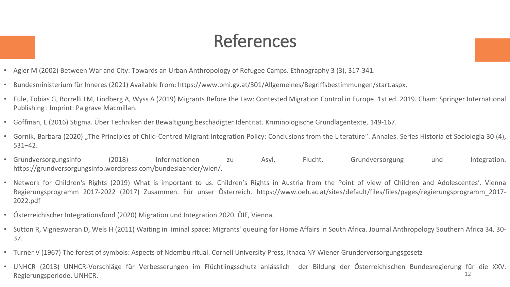### References

- Agier M (2002) Between War and City: Towards an Urban Anthropology of Refugee Camps. Ethnography 3 (3), 317-341.
- Bundesministerium für Inneres (2021) Available from: https://www.bmi.gv.at/301/Allgemeines/Begriffsbestimmungen/start.aspx.
- Eule, Tobias G, Borrelli LM, Lindberg A, Wyss A (2019) Migrants Before the Law: Contested Migration Control in Europe. 1st ed. 2019. Cham: Springer International Publishing : Imprint: Palgrave Macmillan.
- Goffman, E (2016) Stigma. Über Techniken der Bewältigung beschädigter Identität. Kriminologische Grundlagentexte, 149-167.
- Gornik, Barbara (2020) "The Principles of Child-Centred Migrant Integration Policy: Conclusions from the Literature". Annales. Series Historia et Sociologia 30 (4), 531–42.
- Grundversorgungsinfo (2018) Informationen zu Asyl, Flucht, Grundversorgung und Integration. https://grundversorgungsinfo.wordpress.com/bundeslaender/wien/.
- Network for Children's Rights (2019) What is important to us. Children's Rights in Austria from the Point of view of Children and Adolescentes'. Vienna Regierungsprogramm 2017-2022 (2017) Zusammen. Für unser Österreich. https://www.oeh.ac.at/sites/default/files/files/pages/regierungsprogramm\_2017- 2022.pdf
- Österreichischer Integrationsfond (2020) Migration und Integration 2020. ÖIF, Vienna.
- Sutton R, Vigneswaran D, Wels H (2011) Waiting in liminal space: Migrants' queuing for Home Affairs in South Africa. Journal Anthropology Southern Africa 34, 30- 37.
- Turner V (1967) The forest of symbols: Aspects of Ndembu ritual. Cornell University Press, Ithaca NY Wiener Grunderversorgungsgesetz
- UNHCR (2013) UNHCR-Vorschläge für Verbesserungen im Flüchtlingsschutz anlässlich der Bildung der Österreichischen Bundesregierung für die XXV. Regierungsperiode. UNHCR. 12